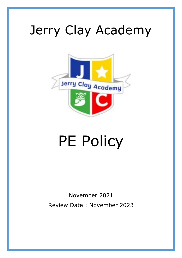## Jerry Clay Academy



# PE Policy

### November 2021 Review Date : November 2023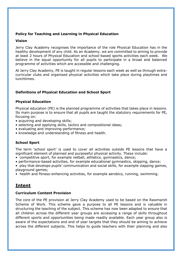#### **Policy for Teaching and Learning in Physical Education**

#### **Vision**

Jerry Clay Academy recognises the importance of the role Physical Education has in the healthy development of any child. As an Academy, we are committed to aiming to provide at least 2 hours of Physical Education and school-based sports activities each week. We believe in the equal opportunity for all pupils to participate in a broad and balanced programme of activities which are accessible and challenging.

At Jerry Clay Academy, PE is taught in regular lessons each week as well as through extracurricular clubs and organised physical activities which take place during playtimes and lunchtimes.

#### **Definitions of Physical Education and School Sport**

#### **Physical Education**

Physical education (PE) is the planned programme of activities that takes place in lessons. Its main purpose is to ensure that all pupils are taught the statutory requirements for PE, focusing on:

- acquiring and developing skills;
- selecting and applying skills, tactics and compositional ideas;
- evaluating and improving performance;
- knowledge and understanding of fitness and health.

#### **School Sport**

The term 'school sport' is used to cover all activities outside PE lessons that have a significant element of planned and purposeful physical activity. These include:

- competitive sport, for example netball, athletics, gymnastics, dance;
- performance-based activities, for example educational gymnastics, skipping, dance;
- play that develops pupils' communication and social skills, for example clapping games, playground games;
- health and fitness-enhancing activities, for example aerobics, running, swimming.

#### **Intent**

#### **Curriculum Content Provision**

The core of the PE provision at Jerry Clay Academy used to be based on the Rawmarsh Scheme of Work. This scheme gave a purpose to all PE lessons and is valuable in structuring the teaching of the subject. This scheme has now been adapted to ensure that all children across the different year groups are accessing a range of skills throughout different sports and opportunities being made readily available. Each year group also is aware of the expectations and end of year targets that they should be aiming to achieve across the different subjects. This helps to guide teachers with their planning and also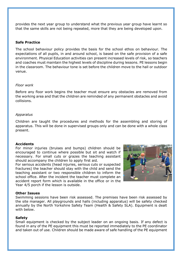provides the next year group to understand what the previous year group have learnt so that the same skills are not being repeated, more that they are being developed upon.

#### **Safe Practice**

The school behaviour policy provides the basis for the school ethos on behaviour. The expectations of all pupils, in and around school, is based on the safe provision of a safe environment. Physical Education activities can present increased levels of risk, so teachers and coaches must maintain the highest levels of discipline during lessons. PE lessons begin in the classroom. The behaviour tone is set before the children move to the hall or outdoor venue.

#### *Floor work*

Before any floor work begins the teacher must ensure any obstacles are removed from the working area and that the children are reminded of any permanent obstacles and avoid collisions.

#### *Apparatus*

Children are taught the procedures and methods for the assembling and storing of apparatus. This will be done in supervised groups only and can be done with a whole class present.

#### **Accidents**

For minor injuries (bruises and bumps) children should be encouraged to continue where possible but sit and watch if necessary. For small cuts or grazes the teaching assistant should accompany the children to apply first aid.

For serious accidents (head injuries, serious cuts or suspected fractures) the teacher should stay with the child and send the teaching assistant or two responsible children to inform the school office. After the incident the teacher must complete an accident report form which is available in the office or in the Year 4/5 porch if the lesson is outside.



#### **Other Issues**

Swimming sessions have been risk assessed. The premises have been risk assessed by the site manager. All playgrounds and halls (including apparatus) will be safety checked annually by the North Yorkshire Safety Team (Health & Safety SLA). Equipment is dealt with below.

#### **Safety**

Small equipment is checked by the subject leader on an ongoing basis. If any defect is found in any of the PE equipment this must be reported immediately to the PE coordinator and taken out of use. Children should be made aware of safe handling of the PE equipment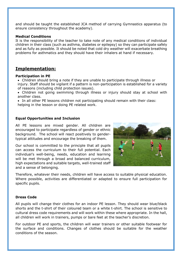and should be taught the established JCA method of carrying Gymnastics apparatus (to ensure consistency throughout the academy).

#### **Medical Conditions**

It is the responsibility of the teacher to take note of any medical conditions of individual children in their class (such as asthma, diabetes or epilepsy) so they can participate safely and as fully as possible. It should be noted that cold dry weather will exacerbate breathing problems for asthmatics and they should have their inhalers at hand if necessary.

#### **Implementation:**

#### **Participation in PE**

- Children should bring a note if they are unable to participate through illness or injury. Staff should be vigilant if a pattern is non-participation is established for a variety of reasons (including child protection issues).
- Children not going swimming through illness or injury should stay at school with another class.
- In all other PE lessons children not participating should remain with their class: helping in the lesson or doing PE related work.

#### **Equal Opportunities and Inclusion**

All PE lessons are mixed gender. All children are encouraged to participate regardless of gender or ethnic background. The school will react positively to gendertypical attitudes and encourage the breaking of them.

Our school is committed to the principle that all pupils can access the curriculum to their full potential. Each individual's well-being, needs, education and learning will be met through a broad and balanced curriculum, high expectations and suitable targets, well-trained staff and a sense of belonging.



Therefore, whatever their needs, children will have access to suitable physical education. Where possible, activities are differentiated or adapted to ensure full participation for specific pupils.

#### **Dress Code**

All pupils will change their clothes for an indoor PE lesson. They should wear blue/black shorts and the t-shirt of their coloured team or a white t-shirt. The school is sensitive to cultural dress code requirements and will work within these where appropriate. In the hall, all children will work in trainers, pumps or bare feet at the teacher's discretion.

For outdoor PE and sports, the children will wear trainers or other suitable footwear for the surface and conditions. Changes of clothes should be suitable for the weather conditions of the season.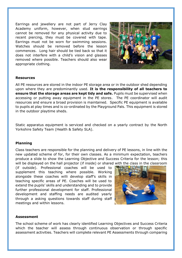Earrings and jewellery are not part of Jerry Clay Academy uniform, however, when stud earrings cannot be removed for any physical activity due to recent piercing, they must be covered with tape. Earrings must not be worn for swimming sessions. Watches should be removed before the lesson commences. Long hair should be tied back so that it does not interfere with a child's vision and glasses removed where possible. Teachers should also wear appropriate clothing.



#### **Resources**

All PE resources are stored in the indoor PE storage area or in the outdoor shed depending upon where they are predominantly used. **It is the responsibility of all teachers to ensure that the storage areas are kept tidy and safe.** Pupils must be supervised when accessing or putting away equipment in the PE stores. The PE coordinator will audit resources and ensure a broad provision is maintained. Specific PE equipment is available to pupils at play times and is co-ordinated by the Playground Pals. This equipment is stored in the outdoor playtime sheds.

Static apparatus equipment is serviced and checked on a yearly contract by the North Yorkshire Safety Team (Health & Safety SLA).

#### **Planning**

Class teachers are responsible for the planning and delivery of PE lessons, in line with the new updated scheme of for, for their own classes. As a minimum expectation, teachers produce a slide to show the Learning Objective and Success Criteria for the lesson; this will be displayed on the hall projector (if inside) or shared with the class in the classroom

(if outside). Professional coaches will be used to supplement this teaching where possible. Working alongside these coaches willi develop staff's skills in teaching specific areas of PE. Coaches will be used to extend the pupils' skills and understanding and to provide further professional development for staff. Professional development and staffing needs are audited yearly through a asking questions towards staff during staff meetings and within lessons.



#### **Assessment**

The school scheme of work has clearly identified Learning Objectives and Success Criteria which the teacher will assess through continuous observation or through specific assessment activities. Teachers will complete relevant PE Assessments through comparing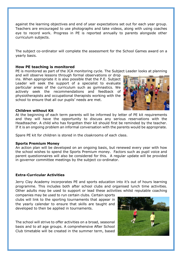against the learning objectives and end of year expectations set out for each year group. Teachers are encouraged to use photographs and take videos, along with using coaches eye to record work. Progress in PE is reported annually to parents alongside other curriculum subjects.

The subject co-ordinator will complete the assessment for the School Games award on a yearly basis.

#### **How PE teaching is monitored**

PE is monitored as part of the JCA monitoring cycle. The Subject Leader looks at planning

and will observe lessons through formal observations or drop ins. When appropriate it is also possible that the P.E. Subject Leader will seek the support of a specialist to evaluate particular areas of the curriculum such as gymnastics. We actively seek the recommendations and feedback of physiotherapists and occupational therapists working with the school to ensure that all our pupils' needs are met.



#### **Children without Kit**

At the beginning of each term parents will be informed by letter of PE kit requirements and they will have the opportunity to discuss any serious reservations with the Headteacher. A child who has forgotten their kit should first be reminded by the teacher. If it is an ongoing problem an informal conversation with the parents would be appropriate.

Spare PE kit for children is stored in the cloakrooms of each class.

#### **Sports Premium Money**

An action plan will be developed on an ongoing basis, but renewed every year with how the school wishes to spend the Sports Premium money. Factors such as pupil voice and parent questionnaires will also be considered for this. A regular update will be provided in governor committee meetings by the subject co-ordinator.

#### **Extra-Curricular Activities**

Jerry Clay Academy incorporates PE and sports education into it's out of hours learning programme. This includes both after school clubs and organised lunch time activities. Other adults may be used to support or lead these activities whilst reputable coaching

companies may be used to run certain clubs. Certain sports clubs will link to the sporting tournaments that appear in the yearly calendar to ensure that skills are taught and developed to then be applied in tournaments.

The school will strive to offer activities on a broad, seasonal basis and to all age groups. A comprehensive After School Club timetable will be created in the summer term, based

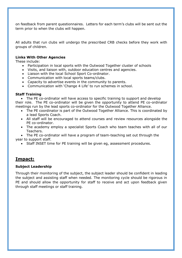on feedback from parent questionnaires. Letters for each term's clubs will be sent out the term prior to when the clubs will happen.

All adults that run clubs will undergo the prescribed CRB checks before they work with groups of children.

#### **Links With Other Agencies**

These include:

- Participation in local sports with the Outwood Together cluster of schools
- Visits, and liaison with, outdoor education centres and agencies.
- Liaison with the local School Sport Co-ordinator.
- Communication with local sports teams/clubs.
- Capacity to advertise events in the community to parents.
- Communication with 'Change 4 Life' to run schemes in school.

#### **Staff Training**

• The PE co-ordinator will have access to specific training to support and develop their role. The PE co-ordinator will be given the opportunity to attend PE co-ordinator meetings run by the lead sports co-ordinator for the Outwood Together Alliance.

- The PE coordinator is part of the Outwood Together Alliance. This is coordinated by a lead Sports Coach.
- All staff will be encouraged to attend courses and review resources alongside the PE co-ordinator.
- The academy employ a specialist Sports Coach who team teaches with all of our Teachers.

• The PE co-ordinator will have a program of team-teaching set out through the year to support staff.

• Staff INSET time for PE training will be given eg, assessment procedures.

#### **Impact:**

#### **Subject Leadership**

Through their monitoring of the subject, the subject leader should be confident in leading the subject and assisting staff when needed. The monitoring cycle should be rigorous in PE and should allow the opportunity for staff to receive and act upon feedback given through staff meetings or staff training.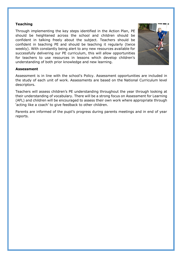#### **Teaching**

Through implementing the key steps identified in the Action Plan, PE should be heightened across the school and children should be confident in talking freely about the subject. Teachers should be confident in teaching PE and should be teaching it regularly (twice weekly). With constantly being alert to any new resources available for successfully delivering our PE curriculum, this will allow opportunities for teachers to use resources in lessons which develop children's understanding of both prior knowledge and new learning.



#### **Assessment**

Assessment is in line with the school's Policy. Assessment opportunities are included in the study of each unit of work. Assessments are based on the National Curriculum level descriptors.

Teachers will assess children's PE understanding throughout the year through looking at their understanding of vocabulary. There will be a strong focus on Assessment for Learning (AFL) and children will be encouraged to assess their own work where appropriate through 'acting like a coach' to give feedback to other children.

Parents are informed of the pupil's progress during parents meetings and in end of year reports.